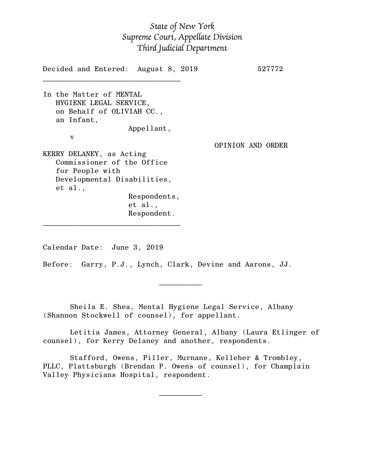## *State of New York Supreme Court, Appellate Division Third Judicial Department*

Decided and Entered: August 8, 2019 527772  $\mathcal{L}_\text{max}$ In the Matter of MENTAL HYGIENE LEGAL SERVICE, on Behalf of OLIVIAH CC., an Infant, Appellant, v OPINION AND ORDER KERRY DELANEY, as Acting Commissioner of the Office for People with Developmental Disabilities, et al., Respondents, et al., Respondent. \_\_\_\_\_\_\_\_\_\_\_\_\_\_\_\_\_\_\_\_\_\_\_\_\_\_\_\_\_\_\_\_

Calendar Date: June 3, 2019

 $\mathcal{L}_\text{max}$  and  $\mathcal{L}_\text{max}$  are the set of  $\mathcal{L}_\text{max}$  . The set of  $\mathcal{L}_\text{max}$ 

 $\mathcal{L}_\text{max}$  and  $\mathcal{L}_\text{max}$  are the set of  $\mathcal{L}_\text{max}$  . The set of  $\mathcal{L}_\text{max}$ 

Before: Garry, P.J., Lynch, Clark, Devine and Aarons, JJ.

Sheila E. Shea, Mental Hygiene Legal Service, Albany (Shannon Stockwell of counsel), for appellant.

Letitia James, Attorney General, Albany (Laura Etlinger of counsel), for Kerry Delaney and another, respondents.

Stafford, Owens, Piller, Murnane, Kelleher & Trombley, PLLC, Plattsburgh (Brendan P. Owens of counsel), for Champlain Valley Physicians Hospital, respondent.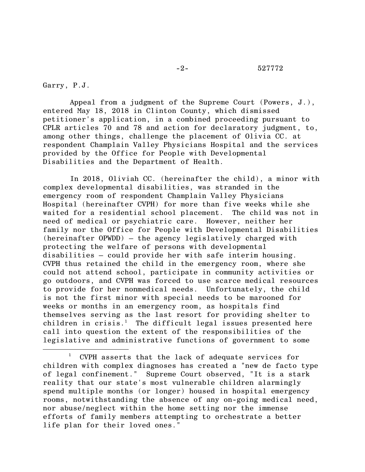Garry, P.J.

 $\overline{\phantom{a}}$ 

Appeal from a judgment of the Supreme Court (Powers, J.), entered May 18, 2018 in Clinton County, which dismissed petitioner's application, in a combined proceeding pursuant to CPLR articles 70 and 78 and action for declaratory judgment, to, among other things, challenge the placement of Olivia CC. at respondent Champlain Valley Physicians Hospital and the services provided by the Office for People with Developmental Disabilities and the Department of Health.

In 2018, Oliviah CC. (hereinafter the child), a minor with complex developmental disabilities, was stranded in the emergency room of respondent Champlain Valley Physicians Hospital (hereinafter CVPH) for more than five weeks while she waited for a residential school placement. The child was not in need of medical or psychiatric care. However, neither her family nor the Office for People with Developmental Disabilities (hereinafter OPWDD) – the agency legislatively charged with protecting the welfare of persons with developmental disabilities – could provide her with safe interim housing. CVPH thus retained the child in the emergency room, where she could not attend school, participate in community activities or go outdoors, and CVPH was forced to use scarce medical resources to provide for her nonmedical needs. Unfortunately, the child is not the first minor with special needs to be marooned for weeks or months in an emergency room, as hospitals find themselves serving as the last resort for providing shelter to children in crisis.<sup>1</sup> The difficult legal issues presented here call into question the extent of the responsibilities of the legislative and administrative functions of government to some

<sup>1</sup> CVPH asserts that the lack of adequate services for children with complex diagnoses has created a "new de facto type of legal confinement." Supreme Court observed, "It is a stark reality that our state's most vulnerable children alarmingly spend multiple months (or longer) housed in hospital emergency rooms, notwithstanding the absence of any on-going medical need, nor abuse/neglect within the home setting nor the immense efforts of family members attempting to orchestrate a better life plan for their loved ones."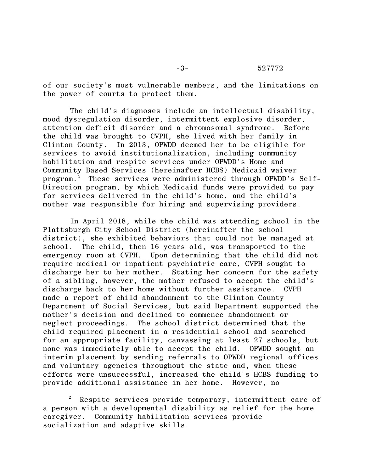of our society's most vulnerable members, and the limitations on the power of courts to protect them.

The child's diagnoses include an intellectual disability, mood dysregulation disorder, intermittent explosive disorder, attention deficit disorder and a chromosomal syndrome. Before the child was brought to CVPH, she lived with her family in Clinton County. In 2013, OPWDD deemed her to be eligible for services to avoid institutionalization, including community habilitation and respite services under OPWDD's Home and Community Based Services (hereinafter HCBS) Medicaid waiver program.<sup>2</sup> These services were administered through OPWDD's Self-Direction program, by which Medicaid funds were provided to pay for services delivered in the child's home, and the child's mother was responsible for hiring and supervising providers.

In April 2018, while the child was attending school in the Plattsburgh City School District (hereinafter the school district), she exhibited behaviors that could not be managed at school. The child, then 16 years old, was transported to the emergency room at CVPH. Upon determining that the child did not require medical or inpatient psychiatric care, CVPH sought to discharge her to her mother. Stating her concern for the safety of a sibling, however, the mother refused to accept the child's discharge back to her home without further assistance. CVPH made a report of child abandonment to the Clinton County Department of Social Services, but said Department supported the mother's decision and declined to commence abandonment or neglect proceedings. The school district determined that the child required placement in a residential school and searched for an appropriate facility, canvassing at least 27 schools, but none was immediately able to accept the child. OPWDD sought an interim placement by sending referrals to OPWDD regional offices and voluntary agencies throughout the state and, when these efforts were unsuccessful, increased the child's HCBS funding to provide additional assistance in her home. However, no

 $\overline{\phantom{a}}$ 

Respite services provide temporary, intermittent care of a person with a developmental disability as relief for the home caregiver. Community habilitation services provide socialization and adaptive skills.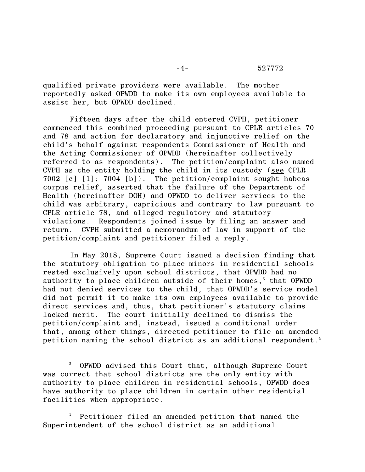qualified private providers were available. The mother reportedly asked OPWDD to make its own employees available to assist her, but OPWDD declined.

Fifteen days after the child entered CVPH, petitioner commenced this combined proceeding pursuant to CPLR articles 70 and 78 and action for declaratory and injunctive relief on the child's behalf against respondents Commissioner of Health and the Acting Commissioner of OPWDD (hereinafter collectively referred to as respondents). The petition/complaint also named CVPH as the entity holding the child in its custody (see CPLR 7002 [c] [1]; 7004 [b]). The petition/complaint sought habeas corpus relief, asserted that the failure of the Department of Health (hereinafter DOH) and OPWDD to deliver services to the child was arbitrary, capricious and contrary to law pursuant to CPLR article 78, and alleged regulatory and statutory violations. Respondents joined issue by filing an answer and return. CVPH submitted a memorandum of law in support of the petition/complaint and petitioner filed a reply.

In May 2018, Supreme Court issued a decision finding that the statutory obligation to place minors in residential schools rested exclusively upon school districts, that OPWDD had no authority to place children outside of their homes, <sup>3</sup> that OPWDD had not denied services to the child, that OPWDD's service model did not permit it to make its own employees available to provide direct services and, thus, that petitioner's statutory claims lacked merit. The court initially declined to dismiss the petition/complaint and, instead, issued a conditional order that, among other things, directed petitioner to file an amended petition naming the school district as an additional respondent. 4

 $\overline{\phantom{a}}$ 

<sup>3</sup> OPWDD advised this Court that, although Supreme Court was correct that school districts are the only entity with authority to place children in residential schools, OPWDD does have authority to place children in certain other residential facilities when appropriate.

Petitioner filed an amended petition that named the Superintendent of the school district as an additional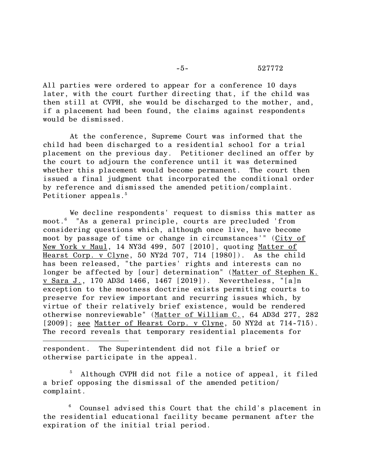All parties were ordered to appear for a conference 10 days later, with the court further directing that, if the child was then still at CVPH, she would be discharged to the mother, and, if a placement had been found, the claims against respondents would be dismissed.

At the conference, Supreme Court was informed that the child had been discharged to a residential school for a trial placement on the previous day. Petitioner declined an offer by the court to adjourn the conference until it was determined whether this placement would become permanent. The court then issued a final judgment that incorporated the conditional order by reference and dismissed the amended petition/complaint. Petitioner appeals. 5

We decline respondents' request to dismiss this matter as moot.<sup>6</sup> "As a general principle, courts are precluded 'from considering questions which, although once live, have become moot by passage of time or change in circumstances'" (City of New York v Maul, 14 NY3d 499, 507 [2010], quoting Matter of Hearst Corp. v Clyne, 50 NY2d 707, 714 [1980]). As the child has been released, "the parties' rights and interests can no longer be affected by [our] determination" (Matter of Stephen K. v Sara J., 170 AD3d 1466, 1467 [2019]). Nevertheless, "[a]n exception to the mootness doctrine exists permitting courts to preserve for review important and recurring issues which, by virtue of their relatively brief existence, would be rendered otherwise nonreviewable" (Matter of William C., 64 AD3d 277, 282 [2009]; see Matter of Hearst Corp. v Clyne, 50 NY2d at 714-715). The record reveals that temporary residential placements for

respondent. The Superintendent did not file a brief or otherwise participate in the appeal.

l

Although CVPH did not file a notice of appeal, it filed a brief opposing the dismissal of the amended petition/ complaint.

Counsel advised this Court that the child's placement in the residential educational facility became permanent after the expiration of the initial trial period.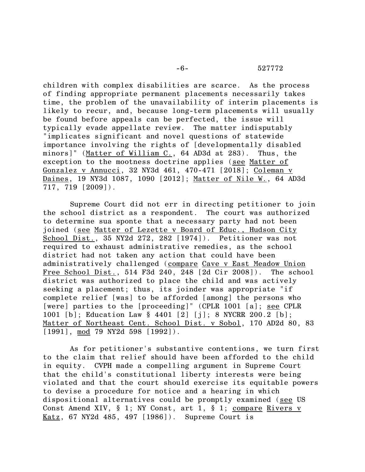## -6- 527772

children with complex disabilities are scarce. As the process of finding appropriate permanent placements necessarily takes time, the problem of the unavailability of interim placements is likely to recur, and, because long-term placements will usually be found before appeals can be perfected, the issue will typically evade appellate review. The matter indisputably "implicates significant and novel questions of statewide importance involving the rights of [developmentally disabled minors]" (Matter of William C., 64 AD3d at 283). Thus, the exception to the mootness doctrine applies (see Matter of Gonzalez v Annucci, 32 NY3d 461, 470-471 [2018]; Coleman v Daines, 19 NY3d 1087, 1090 [2012]; Matter of Nile W., 64 AD3d 717, 719 [2009]).

Supreme Court did not err in directing petitioner to join the school district as a respondent. The court was authorized to determine sua sponte that a necessary party had not been joined (see Matter of Lezette v Board of Educ., Hudson City School Dist., 35 NY2d 272, 282 [1974]). Petitioner was not required to exhaust administrative remedies, as the school district had not taken any action that could have been administratively challenged (compare Cave v East Meadow Union Free School Dist., 514 F3d 240, 248 [2d Cir 2008]). The school district was authorized to place the child and was actively seeking a placement; thus, its joinder was appropriate "if complete relief [was] to be afforded [among] the persons who [were] parties to the [proceeding]" (CPLR 1001 [a]; see CPLR 1001 [b]; Education Law § 4401 [2] [j]; 8 NYCRR 200.2 [b]; Matter of Northeast Cent. School Dist. v Sobol, 170 AD2d 80, 83 [1991], mod 79 NY2d 598 [1992]).

As for petitioner's substantive contentions, we turn first to the claim that relief should have been afforded to the child in equity. CVPH made a compelling argument in Supreme Court that the child's constitutional liberty interests were being violated and that the court should exercise its equitable powers to devise a procedure for notice and a hearing in which dispositional alternatives could be promptly examined (see US Const Amend XIV, § 1; NY Const, art 1, § 1; compare Rivers v Katz, 67 NY2d 485, 497 [1986]). Supreme Court is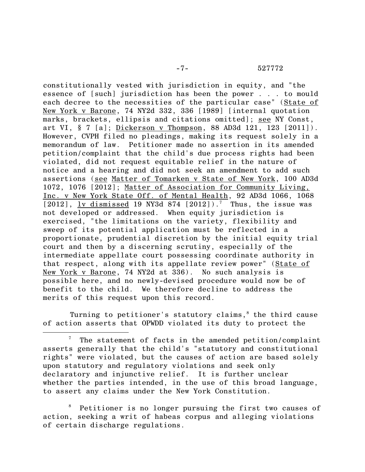constitutionally vested with jurisdiction in equity, and "the essence of [such] jurisdiction has been the power . . . to mould each decree to the necessities of the particular case" (State of New York v Barone, 74 NY2d 332, 336 [1989] [internal quotation marks, brackets, ellipsis and citations omitted]; see NY Const, art VI, § 7 [a]; Dickerson v Thompson, 88 AD3d 121, 123 [2011]). However, CVPH filed no pleadings, making its request solely in a memorandum of law. Petitioner made no assertion in its amended petition/complaint that the child's due process rights had been violated, did not request equitable relief in the nature of notice and a hearing and did not seek an amendment to add such assertions (see Matter of Tomarken v State of New York, 100 AD3d 1072, 1076 [2012]; Matter of Association for Community Living, Inc. v New York State Off. of Mental Health, 92 AD3d 1066, 1068  $[2012]$ , <u>lv dismissed</u> 19 NY3d 874  $[2012]$ ).<sup>7</sup> Thus, the issue was not developed or addressed. When equity jurisdiction is exercised, "the limitations on the variety, flexibility and sweep of its potential application must be reflected in a proportionate, prudential discretion by the initial equity trial court and then by a discerning scrutiny, especially of the intermediate appellate court possessing coordinate authority in that respect, along with its appellate review power" (State of New York v Barone, 74 NY2d at 336). No such analysis is possible here, and no newly-devised procedure would now be of benefit to the child. We therefore decline to address the merits of this request upon this record.

Turning to petitioner's statutory claims, $<sup>8</sup>$  the third cause</sup> of action asserts that OPWDD violated its duty to protect the

l

<sup>8</sup> Petitioner is no longer pursuing the first two causes of action, seeking a writ of habeas corpus and alleging violations of certain discharge regulations.

The statement of facts in the amended petition/complaint asserts generally that the child's "statutory and constitutional rights" were violated, but the causes of action are based solely upon statutory and regulatory violations and seek only declaratory and injunctive relief. It is further unclear whether the parties intended, in the use of this broad language, to assert any claims under the New York Constitution.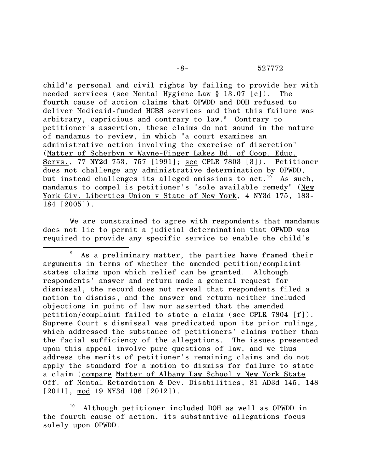child's personal and civil rights by failing to provide her with needed services (see Mental Hygiene Law § 13.07 [c]). The fourth cause of action claims that OPWDD and DOH refused to deliver Medicaid-funded HCBS services and that this failure was arbitrary, capricious and contrary to law.<sup>9</sup> Contrary to petitioner's assertion, these claims do not sound in the nature of mandamus to review, in which "a court examines an administrative action involving the exercise of discretion" (Matter of Scherbyn v Wayne-Finger Lakes Bd. of Coop. Educ. Servs., 77 NY2d 753, 757 [1991]; see CPLR 7803 [3]). Petitioner does not challenge any administrative determination by OPWDD, but instead challenges its alleged omissions to act.<sup>10</sup> As such, mandamus to compel is petitioner's "sole available remedy" (New York Civ. Liberties Union v State of New York, 4 NY3d 175, 183- 184 [2005]).

We are constrained to agree with respondents that mandamus does not lie to permit a judicial determination that OPWDD was required to provide any specific service to enable the child's

 $\overline{a}$ 

<sup>&</sup>lt;sup>9</sup> As a preliminary matter, the parties have framed their arguments in terms of whether the amended petition/complaint states claims upon which relief can be granted. Although respondents' answer and return made a general request for dismissal, the record does not reveal that respondents filed a motion to dismiss, and the answer and return neither included objections in point of law nor asserted that the amended petition/complaint failed to state a claim (see CPLR 7804 [f]). Supreme Court's dismissal was predicated upon its prior rulings, which addressed the substance of petitioners' claims rather than the facial sufficiency of the allegations. The issues presented upon this appeal involve pure questions of law, and we thus address the merits of petitioner's remaining claims and do not apply the standard for a motion to dismiss for failure to state a claim (compare Matter of Albany Law School v New York State Off. of Mental Retardation & Dev. Disabilities, 81 AD3d 145, 148 [2011], mod 19 NY3d 106 [2012]).

Although petitioner included DOH as well as OPWDD in the fourth cause of action, its substantive allegations focus solely upon OPWDD.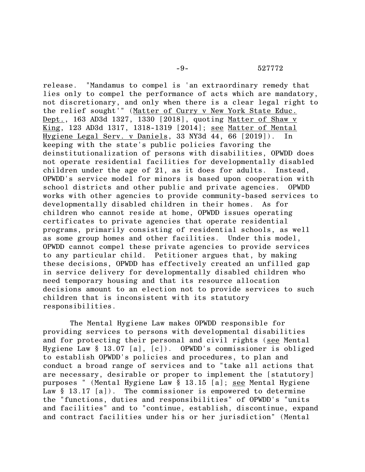release. "Mandamus to compel is 'an extraordinary remedy that lies only to compel the performance of acts which are mandatory, not discretionary, and only when there is a clear legal right to the relief sought'" (Matter of Curry v New York State Educ. Dept., 163 AD3d 1327, 1330 [2018], quoting Matter of Shaw v King, 123 AD3d 1317, 1318-1319 [2014]; see Matter of Mental Hygiene Legal Serv. v Daniels, 33 NY3d 44, 66 [2019]). In keeping with the state's public policies favoring the deinstitutionalization of persons with disabilities, OPWDD does not operate residential facilities for developmentally disabled children under the age of 21, as it does for adults. Instead, OPWDD's service model for minors is based upon cooperation with school districts and other public and private agencies. OPWDD works with other agencies to provide community-based services to developmentally disabled children in their homes. As for children who cannot reside at home, OPWDD issues operating certificates to private agencies that operate residential programs, primarily consisting of residential schools, as well as some group homes and other facilities. Under this model, OPWDD cannot compel these private agencies to provide services to any particular child. Petitioner argues that, by making these decisions, OPWDD has effectively created an unfilled gap in service delivery for developmentally disabled children who need temporary housing and that its resource allocation decisions amount to an election not to provide services to such children that is inconsistent with its statutory responsibilities.

The Mental Hygiene Law makes OPWDD responsible for providing services to persons with developmental disabilities and for protecting their personal and civil rights (see Mental Hygiene Law § 13.07 [a], [c]). OPWDD's commissioner is obliged to establish OPWDD's policies and procedures, to plan and conduct a broad range of services and to "take all actions that are necessary, desirable or proper to implement the [statutory] purposes " (Mental Hygiene Law § 13.15 [a]; see Mental Hygiene Law  $\S$  13.17 [a]). The commissioner is empowered to determine the "functions, duties and responsibilities" of OPWDD's "units and facilities" and to "continue, establish, discontinue, expand and contract facilities under his or her jurisdiction" (Mental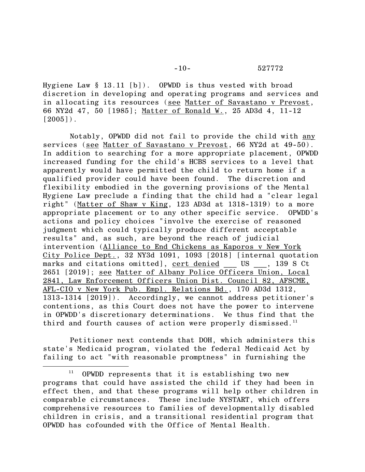Hygiene Law § 13.11 [b]). OPWDD is thus vested with broad discretion in developing and operating programs and services and in allocating its resources (see Matter of Savastano v Prevost, 66 NY2d 47, 50 [1985]; Matter of Ronald W., 25 AD3d 4, 11-12  $[2005]$ .

Notably, OPWDD did not fail to provide the child with any services (see Matter of Savastano v Prevost, 66 NY2d at 49-50). In addition to searching for a more appropriate placement, OPWDD increased funding for the child's HCBS services to a level that apparently would have permitted the child to return home if a qualified provider could have been found. The discretion and flexibility embodied in the governing provisions of the Mental Hygiene Law preclude a finding that the child had a "clear legal right" (Matter of Shaw v King, 123 AD3d at 1318-1319) to a more appropriate placement or to any other specific service. OPWDD's actions and policy choices "involve the exercise of reasoned judgment which could typically produce different acceptable results" and, as such, are beyond the reach of judicial intervention (Alliance to End Chickens as Kaporos v New York City Police Dept., 32 NY3d 1091, 1093 [2018] [internal quotation marks and citations omitted], cert denied US , 139 S Ct 2651 [2019]; see Matter of Albany Police Officers Union, Local 2841, Law Enforcement Officers Union Dist. Council 82, AFSCME, AFL-CIO v New York Pub. Empl. Relations Bd., 170 AD3d 1312, 1313-1314 [2019]). Accordingly, we cannot address petitioner's contentions, as this Court does not have the power to intervene in OPWDD's discretionary determinations. We thus find that the third and fourth causes of action were properly dismissed.<sup>11</sup>

Petitioner next contends that DOH, which administers this state's Medicaid program, violated the federal Medicaid Act by failing to act "with reasonable promptness" in furnishing the

l

OPWDD represents that it is establishing two new programs that could have assisted the child if they had been in effect then, and that these programs will help other children in comparable circumstances. These include NYSTART, which offers comprehensive resources to families of developmentally disabled children in crisis, and a transitional residential program that OPWDD has cofounded with the Office of Mental Health.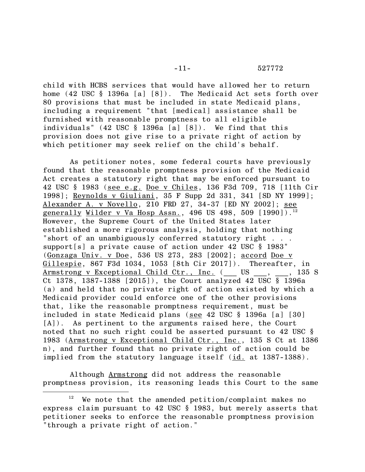child with HCBS services that would have allowed her to return home (42 USC § 1396a [a] [8]). The Medicaid Act sets forth over 80 provisions that must be included in state Medicaid plans, including a requirement "that [medical] assistance shall be furnished with reasonable promptness to all eligible individuals" (42 USC § 1396a [a] [8]). We find that this provision does not give rise to a private right of action by which petitioner may seek relief on the child's behalf.

As petitioner notes, some federal courts have previously found that the reasonable promptness provision of the Medicaid Act creates a statutory right that may be enforced pursuant to 42 USC § 1983 (see e.g. Doe v Chiles, 136 F3d 709, 718 [11th Cir 1998]; Reynolds v Giuliani, 35 F Supp 2d 331, 341 [SD NY 1999]; Alexander A. v Novello, 210 FRD 27, 34-37 [ED NY 2002]; see <u>generally Wilder v Va Hosp Assn.</u>, 496 US 498, 509 [1990]).<sup>12</sup> However, the Supreme Court of the United States later established a more rigorous analysis, holding that nothing "short of an unambiguously conferred statutory right . . . support[s] a private cause of action under 42 USC § 1983" (Gonzaga Univ. v Doe, 536 US 273, 283 [2002]; accord Doe v Gillespie, 867 F3d 1034, 1053 [8th Cir 2017]). Thereafter, in Armstrong v Exceptional Child Ctr., Inc. ( US , , 135 S Ct 1378, 1387-1388 [2015]), the Court analyzed 42 USC § 1396a (a) and held that no private right of action existed by which a Medicaid provider could enforce one of the other provisions that, like the reasonable promptness requirement, must be included in state Medicaid plans (see 42 USC § 1396a [a] [30] [A]). As pertinent to the arguments raised here, the Court noted that no such right could be asserted pursuant to 42 USC § 1983 (Armstrong v Exceptional Child Ctr., Inc., 135 S Ct at 1386 n), and further found that no private right of action could be implied from the statutory language itself (id. at 1387-1388).

Although Armstrong did not address the reasonable promptness provision, its reasoning leads this Court to the same

 $\overline{\phantom{a}}$ 

 $12$  We note that the amended petition/complaint makes no express claim pursuant to 42 USC § 1983, but merely asserts that petitioner seeks to enforce the reasonable promptness provision "through a private right of action."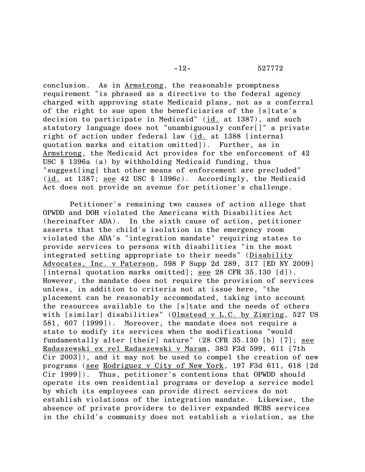conclusion. As in Armstrong, the reasonable promptness requirement "is phrased as a directive to the federal agency charged with approving state Medicaid plans, not as a conferral of the right to sue upon the beneficiaries of the [s]tate's decision to participate in Medicaid"  $(id.$  at 1387), and such statutory language does not "unambiguously confer[]" a private right of action under federal law (id. at 1388 [internal quotation marks and citation omitted]). Further, as in Armstrong, the Medicaid Act provides for the enforcement of 42 USC § 1396a (a) by withholding Medicaid funding, thus "suggest[ing] that other means of enforcement are precluded" (id. at 1387; see 42 USC § 1396c). Accordingly, the Medicaid Act does not provide an avenue for petitioner's challenge.

Petitioner's remaining two causes of action allege that OPWDD and DOH violated the Americans with Disabilities Act (hereinafter ADA). In the sixth cause of action, petitioner asserts that the child's isolation in the emergency room violated the ADA's "integration mandate" requiring states to provide services to persons with disabilities "in the most integrated setting appropriate to their needs" (Disability Advocates, Inc. v Paterson, 598 F Supp 2d 289, 317 [ED NY 2009] [internal quotation marks omitted]; see 28 CFR 35.130 [d]). However, the mandate does not require the provision of services unless, in addition to criteria not at issue here, "the placement can be reasonably accommodated, taking into account the resources available to the [s]tate and the needs of others with [similar] disabilities" (Olmstead v L.C. by Zimring, 527 US 581, 607 [1999]). Moreover, the mandate does not require a state to modify its services when the modifications "would fundamentally alter [their] nature" (28 CFR 35.130 [b] [7]; see Radaszewski ex rel Radaszewski v Maram, 383 F3d 599, 611 [7th Cir 2003]), and it may not be used to compel the creation of new programs (see Rodriguez v City of New York, 197 F3d 611, 618 [2d Cir 1999]). Thus, petitioner's contentions that OPWDD should operate its own residential programs or develop a service model by which its employees can provide direct services do not establish violations of the integration mandate. Likewise, the absence of private providers to deliver expanded HCBS services in the child's community does not establish a violation, as the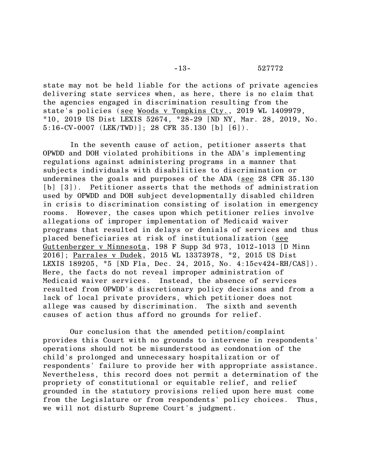state may not be held liable for the actions of private agencies delivering state services when, as here, there is no claim that the agencies engaged in discrimination resulting from the state's policies (see Woods v Tompkins Cty., 2019 WL 1409979, \*10, 2019 US Dist LEXIS 52674, \*28-29 [ND NY, Mar. 28, 2019, No. 5:16-CV-0007 (LEK/TWD)]; 28 CFR 35.130 [b] [6]).

In the seventh cause of action, petitioner asserts that OPWDD and DOH violated prohibitions in the ADA's implementing regulations against administering programs in a manner that subjects individuals with disabilities to discrimination or undermines the goals and purposes of the ADA (see 28 CFR 35.130 [b] [3]). Petitioner asserts that the methods of administration used by OPWDD and DOH subject developmentally disabled children in crisis to discrimination consisting of isolation in emergency rooms. However, the cases upon which petitioner relies involve allegations of improper implementation of Medicaid waiver programs that resulted in delays or denials of services and thus placed beneficiaries at risk of institutionalization (see Guttenberger v Minnesota, 198 F Supp 3d 973, 1012-1013 [D Minn 2016]; Parrales v Dudek, 2015 WL 13373978, \*2, 2015 US Dist LEXIS 189205, \*5 [ND Fla, Dec. 24, 2015, No. 4:15cv424-RH/CAS]). Here, the facts do not reveal improper administration of Medicaid waiver services. Instead, the absence of services resulted from OPWDD's discretionary policy decisions and from a lack of local private providers, which petitioner does not allege was caused by discrimination. The sixth and seventh causes of action thus afford no grounds for relief.

Our conclusion that the amended petition/complaint provides this Court with no grounds to intervene in respondents' operations should not be misunderstood as condonation of the child's prolonged and unnecessary hospitalization or of respondents' failure to provide her with appropriate assistance. Nevertheless, this record does not permit a determination of the propriety of constitutional or equitable relief, and relief grounded in the statutory provisions relied upon here must come from the Legislature or from respondents' policy choices. Thus, we will not disturb Supreme Court's judgment.